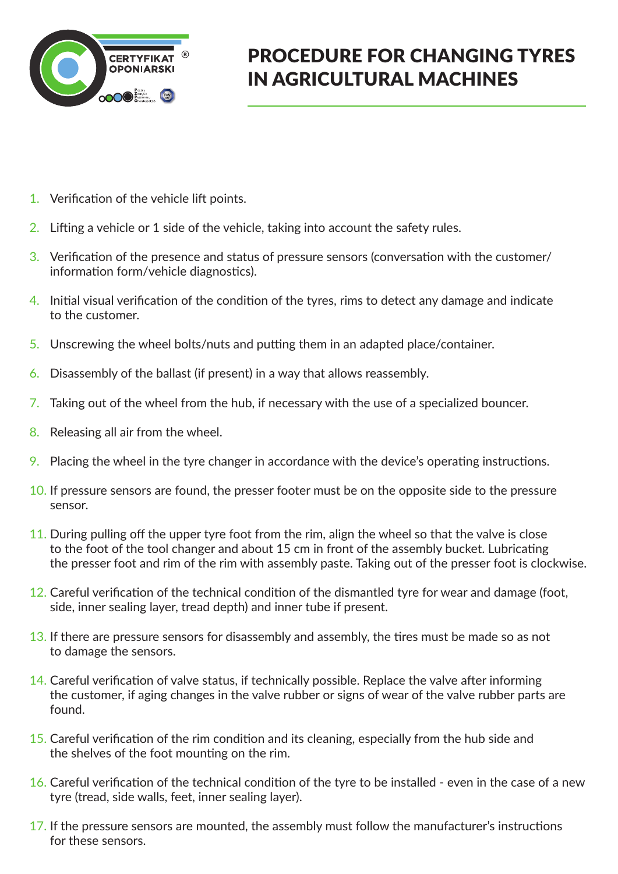

## PROCEDURE FOR CHANGING TYRES IN AGRICULTURAL MACHINES

- 1. Verification of the vehicle lift points.
- 2. Lifting a vehicle or 1 side of the vehicle, taking into account the safety rules.
- 3. Verification of the presence and status of pressure sensors (conversation with the customer/ information form/vehicle diagnostics).
- 4. Initial visual verification of the condition of the tyres, rims to detect any damage and indicate to the customer.
- 5. Unscrewing the wheel bolts/nuts and putting them in an adapted place/container.
- 6. Disassembly of the ballast (if present) in a way that allows reassembly.
- 7. Taking out of the wheel from the hub, if necessary with the use of a specialized bouncer.
- 8. Releasing all air from the wheel.
- 9. Placing the wheel in the tyre changer in accordance with the device's operating instructions.
- 10. If pressure sensors are found, the presser footer must be on the opposite side to the pressure sensor.
- 11. During pulling off the upper tyre foot from the rim, align the wheel so that the valve is close to the foot of the tool changer and about 15 cm in front of the assembly bucket. Lubricating the presser foot and rim of the rim with assembly paste. Taking out of the presser foot is clockwise.
- 12. Careful verification of the technical condition of the dismantled tyre for wear and damage (foot, side, inner sealing layer, tread depth) and inner tube if present.
- 13. If there are pressure sensors for disassembly and assembly, the tires must be made so as not to damage the sensors.
- 14. Careful verification of valve status, if technically possible. Replace the valve after informing the customer, if aging changes in the valve rubber or signs of wear of the valve rubber parts are found.
- 15. Careful verification of the rim condition and its cleaning, especially from the hub side and the shelves of the foot mounting on the rim.
- 16. Careful verification of the technical condition of the tyre to be installed even in the case of a new tyre (tread, side walls, feet, inner sealing layer).
- 17. If the pressure sensors are mounted, the assembly must follow the manufacturer's instructions for these sensors.